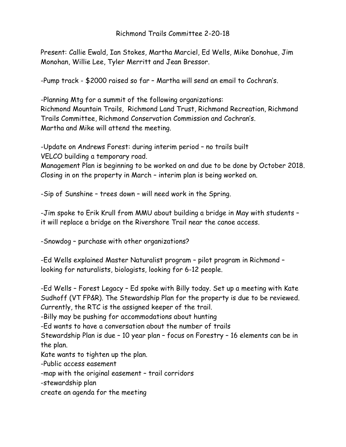## Richmond Trails Committee 2-20-18

Present: Callie Ewald, Ian Stokes, Martha Marciel, Ed Wells, Mike Donohue, Jim Monohan, Willie Lee, Tyler Merritt and Jean Bressor.

-Pump track - \$2000 raised so far – Martha will send an email to Cochran's.

-Planning Mtg for a summit of the following organizations: Richmond Mountain Trails, Richmond Land Trust, Richmond Recreation, Richmond Trails Committee, Richmond Conservation Commission and Cochran's. Martha and Mike will attend the meeting.

-Update on Andrews Forest: during interim period – no trails built VELCO building a temporary road.

Management Plan is beginning to be worked on and due to be done by October 2018. Closing in on the property in March – interim plan is being worked on.

-Sip of Sunshine – trees down – will need work in the Spring.

-Jim spoke to Erik Krull from MMU about building a bridge in May with students – it will replace a bridge on the Rivershore Trail near the canoe access.

-Snowdog – purchase with other organizations?

-Ed Wells explained Master Naturalist program – pilot program in Richmond – looking for naturalists, biologists, looking for 6-12 people.

-Ed Wells – Forest Legacy – Ed spoke with Billy today. Set up a meeting with Kate Sudhoff (VT FP&R). The Stewardship Plan for the property is due to be reviewed. Currently, the RTC is the assigned keeper of the trail.

-Billy may be pushing for accommodations about hunting

-Ed wants to have a conversation about the number of trails

Stewardship Plan is due – 10 year plan – focus on Forestry – 16 elements can be in the plan.

Kate wants to tighten up the plan.

-Public access easement

-map with the original easement – trail corridors

-stewardship plan

create an agenda for the meeting